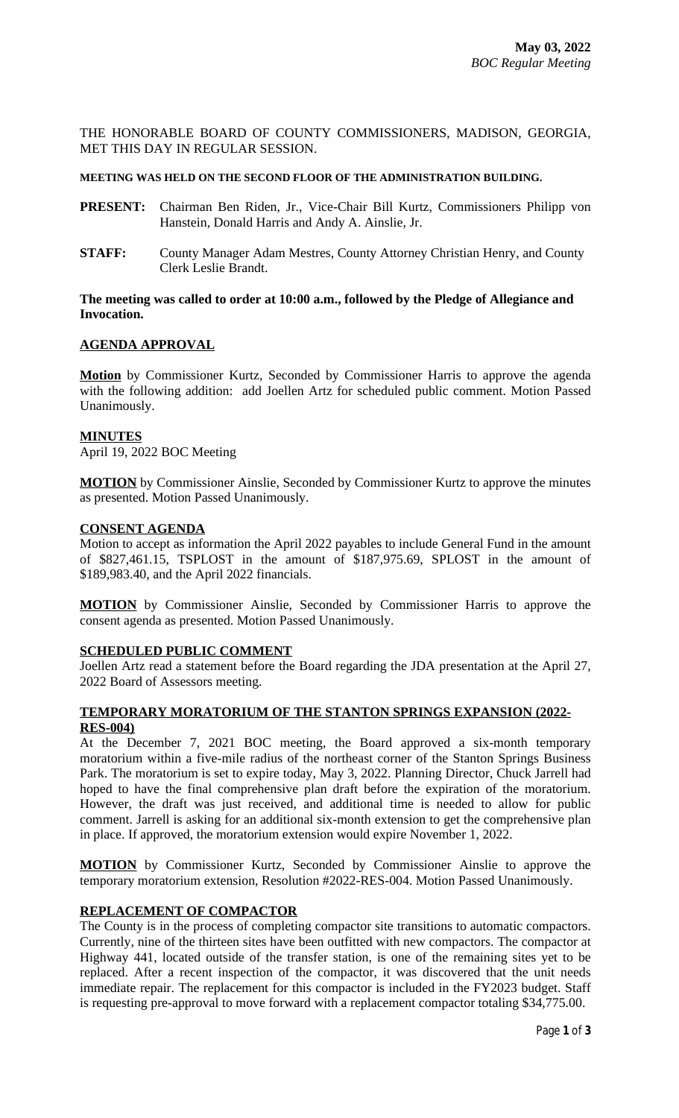THE HONORABLE BOARD OF COUNTY COMMISSIONERS, MADISON, GEORGIA, MET THIS DAY IN REGULAR SESSION.

#### **MEETING WAS HELD ON THE SECOND FLOOR OF THE ADMINISTRATION BUILDING.**

- **PRESENT:** Chairman Ben Riden, Jr., Vice-Chair Bill Kurtz, Commissioners Philipp von Hanstein, Donald Harris and Andy A. Ainslie, Jr.
- **STAFF:** County Manager Adam Mestres, County Attorney Christian Henry, and County Clerk Leslie Brandt.

## **The meeting was called to order at 10:00 a.m., followed by the Pledge of Allegiance and Invocation.**

# **AGENDA APPROVAL**

**Motion** by Commissioner Kurtz, Seconded by Commissioner Harris to approve the agenda with the following addition: add Joellen Artz for scheduled public comment. Motion Passed Unanimously.

#### **MINUTES**

April 19, 2022 BOC Meeting

**MOTION** by Commissioner Ainslie, Seconded by Commissioner Kurtz to approve the minutes as presented. Motion Passed Unanimously.

#### **CONSENT AGENDA**

Motion to accept as information the April 2022 payables to include General Fund in the amount of \$827,461.15, TSPLOST in the amount of \$187,975.69, SPLOST in the amount of \$189,983.40, and the April 2022 financials.

**MOTION** by Commissioner Ainslie, Seconded by Commissioner Harris to approve the consent agenda as presented. Motion Passed Unanimously.

#### **SCHEDULED PUBLIC COMMENT**

Joellen Artz read a statement before the Board regarding the JDA presentation at the April 27, 2022 Board of Assessors meeting.

## **TEMPORARY MORATORIUM OF THE STANTON SPRINGS EXPANSION (2022- RES-004)**

At the December 7, 2021 BOC meeting, the Board approved a six-month temporary moratorium within a five-mile radius of the northeast corner of the Stanton Springs Business Park. The moratorium is set to expire today, May 3, 2022. Planning Director, Chuck Jarrell had hoped to have the final comprehensive plan draft before the expiration of the moratorium. However, the draft was just received, and additional time is needed to allow for public comment. Jarrell is asking for an additional six-month extension to get the comprehensive plan in place. If approved, the moratorium extension would expire November 1, 2022.

**MOTION** by Commissioner Kurtz, Seconded by Commissioner Ainslie to approve the temporary moratorium extension, Resolution #2022-RES-004. Motion Passed Unanimously.

## **REPLACEMENT OF COMPACTOR**

The County is in the process of completing compactor site transitions to automatic compactors. Currently, nine of the thirteen sites have been outfitted with new compactors. The compactor at Highway 441, located outside of the transfer station, is one of the remaining sites yet to be replaced. After a recent inspection of the compactor, it was discovered that the unit needs immediate repair. The replacement for this compactor is included in the FY2023 budget. Staff is requesting pre-approval to move forward with a replacement compactor totaling \$34,775.00.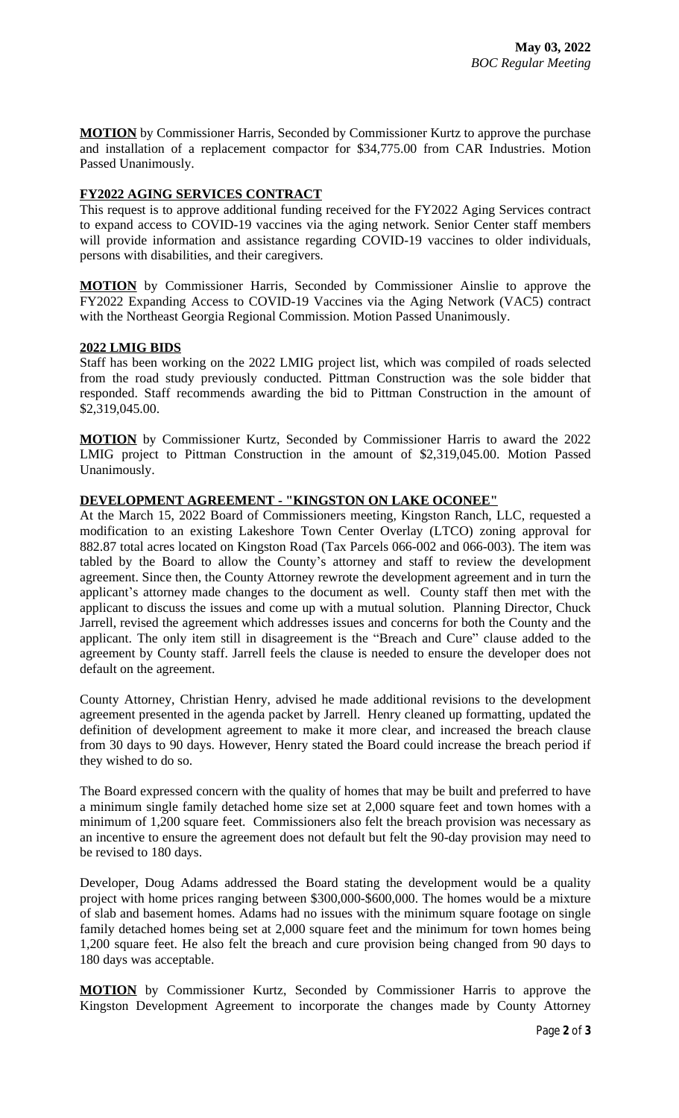**MOTION** by Commissioner Harris, Seconded by Commissioner Kurtz to approve the purchase and installation of a replacement compactor for \$34,775.00 from CAR Industries. Motion Passed Unanimously.

## **FY2022 AGING SERVICES CONTRACT**

This request is to approve additional funding received for the FY2022 Aging Services contract to expand access to COVID-19 vaccines via the aging network. Senior Center staff members will provide information and assistance regarding COVID-19 vaccines to older individuals, persons with disabilities, and their caregivers.

**MOTION** by Commissioner Harris, Seconded by Commissioner Ainslie to approve the FY2022 Expanding Access to COVID-19 Vaccines via the Aging Network (VAC5) contract with the Northeast Georgia Regional Commission. Motion Passed Unanimously.

## **2022 LMIG BIDS**

Staff has been working on the 2022 LMIG project list, which was compiled of roads selected from the road study previously conducted. Pittman Construction was the sole bidder that responded. Staff recommends awarding the bid to Pittman Construction in the amount of \$2,319,045.00.

**MOTION** by Commissioner Kurtz, Seconded by Commissioner Harris to award the 2022 LMIG project to Pittman Construction in the amount of \$2,319,045.00. Motion Passed Unanimously.

## **DEVELOPMENT AGREEMENT - "KINGSTON ON LAKE OCONEE"**

At the March 15, 2022 Board of Commissioners meeting, Kingston Ranch, LLC, requested a modification to an existing Lakeshore Town Center Overlay (LTCO) zoning approval for 882.87 total acres located on Kingston Road (Tax Parcels 066-002 and 066-003). The item was tabled by the Board to allow the County's attorney and staff to review the development agreement. Since then, the County Attorney rewrote the development agreement and in turn the applicant's attorney made changes to the document as well. County staff then met with the applicant to discuss the issues and come up with a mutual solution. Planning Director, Chuck Jarrell, revised the agreement which addresses issues and concerns for both the County and the applicant. The only item still in disagreement is the "Breach and Cure" clause added to the agreement by County staff. Jarrell feels the clause is needed to ensure the developer does not default on the agreement.

County Attorney, Christian Henry, advised he made additional revisions to the development agreement presented in the agenda packet by Jarrell. Henry cleaned up formatting, updated the definition of development agreement to make it more clear, and increased the breach clause from 30 days to 90 days. However, Henry stated the Board could increase the breach period if they wished to do so.

The Board expressed concern with the quality of homes that may be built and preferred to have a minimum single family detached home size set at 2,000 square feet and town homes with a minimum of 1,200 square feet. Commissioners also felt the breach provision was necessary as an incentive to ensure the agreement does not default but felt the 90-day provision may need to be revised to 180 days.

Developer, Doug Adams addressed the Board stating the development would be a quality project with home prices ranging between \$300,000-\$600,000. The homes would be a mixture of slab and basement homes. Adams had no issues with the minimum square footage on single family detached homes being set at 2,000 square feet and the minimum for town homes being 1,200 square feet. He also felt the breach and cure provision being changed from 90 days to 180 days was acceptable.

**MOTION** by Commissioner Kurtz, Seconded by Commissioner Harris to approve the Kingston Development Agreement to incorporate the changes made by County Attorney